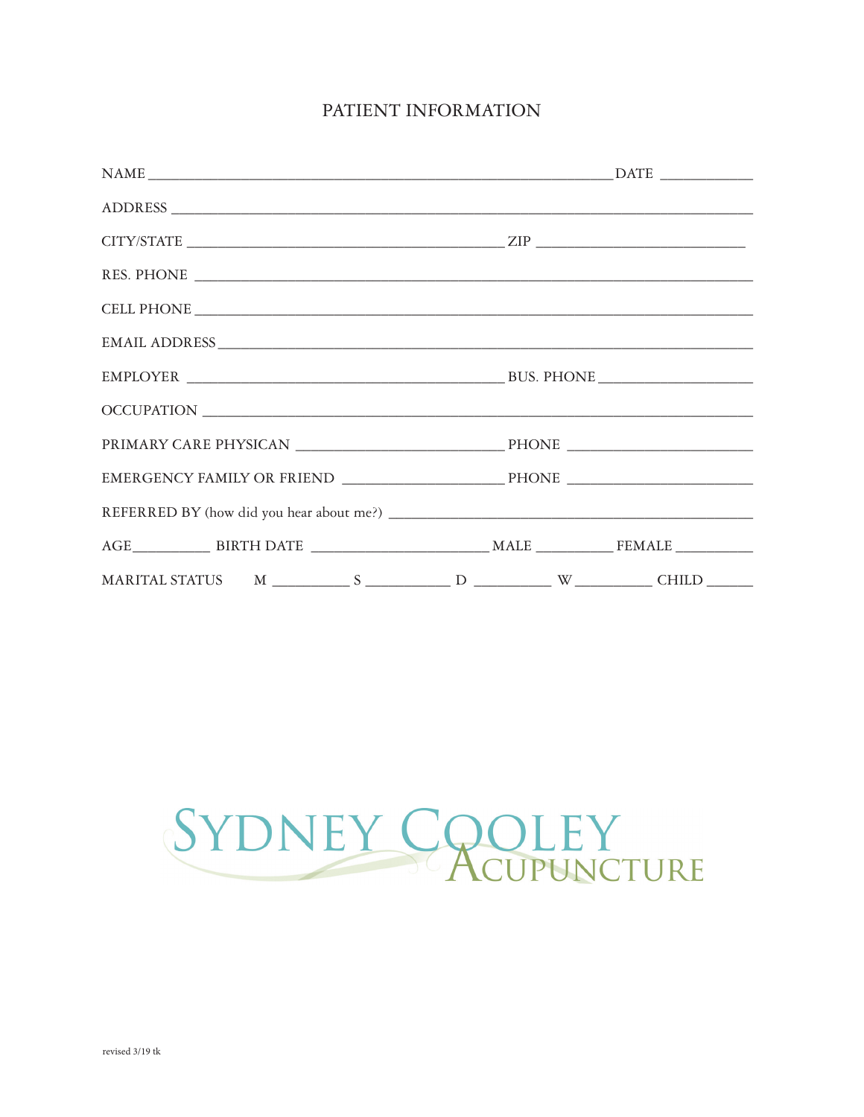# PATIENT INFORMATION

| $\begin{tabular}{l} \bf{NAME} \end{tabular}$ $\begin{tabular}{l} \bf{NAME} \end{tabular}$ |  |
|-------------------------------------------------------------------------------------------|--|
|                                                                                           |  |
| $CITY/STATE$                                                                              |  |
|                                                                                           |  |
|                                                                                           |  |
|                                                                                           |  |
|                                                                                           |  |
|                                                                                           |  |
|                                                                                           |  |
|                                                                                           |  |
|                                                                                           |  |
|                                                                                           |  |
|                                                                                           |  |
|                                                                                           |  |

# SYDNEY COOLEY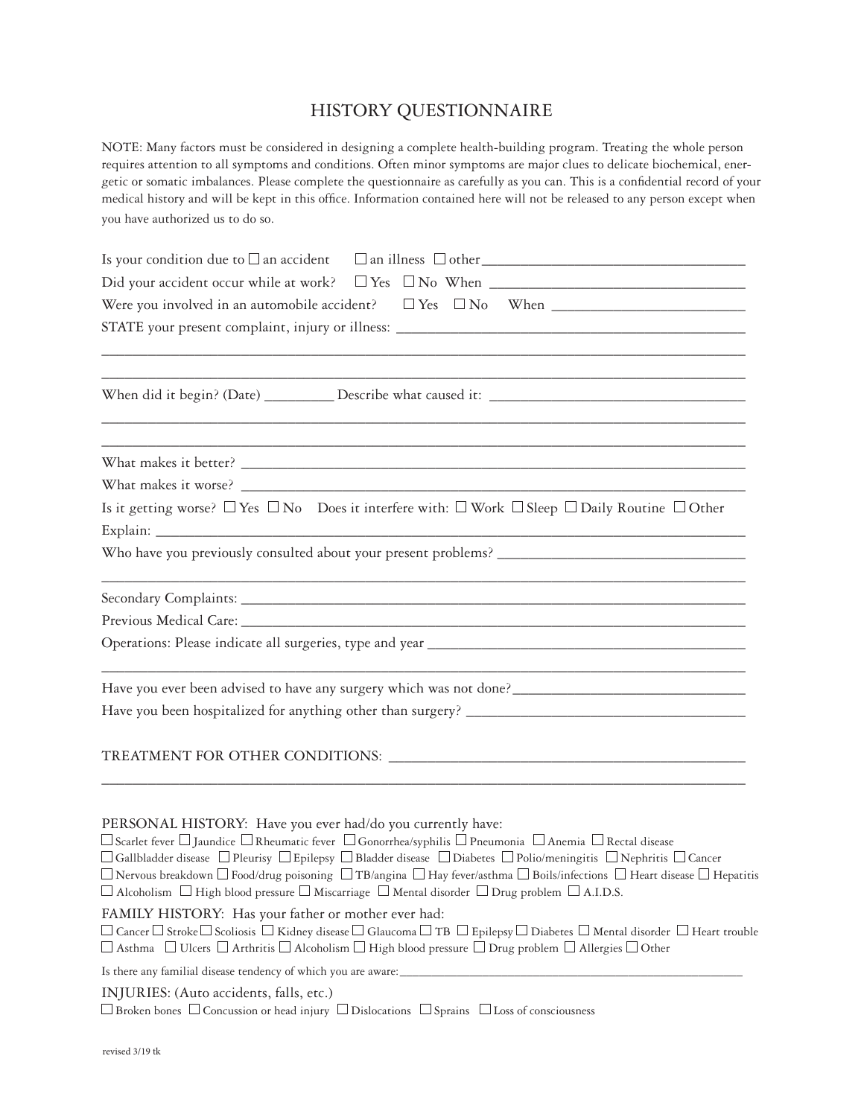# HISTORY QUESTIONNAIRE

NOTE: Many factors must be considered in designing a complete health-building program. Treating the whole person requires attention to all symptoms and conditions. Often minor symptoms are major clues to delicate biochemical, energetic or somatic imbalances. Please complete the questionnaire as carefully as you can. This is a confidential record of your medical history and will be kept in this office. Information contained here will not be released to any person except when you have authorized us to do so.

| <u> 1989 - Johann Harry Harry Harry Harry Harry Harry Harry Harry Harry Harry Harry Harry Harry Harry Harry Harry</u>                                                                                                                                                                                                                                                                                                                                                                                                                                                                                                                                                   |
|-------------------------------------------------------------------------------------------------------------------------------------------------------------------------------------------------------------------------------------------------------------------------------------------------------------------------------------------------------------------------------------------------------------------------------------------------------------------------------------------------------------------------------------------------------------------------------------------------------------------------------------------------------------------------|
| <u> 1989 - Johann Stoff, amerikansk politiker (d. 1989)</u>                                                                                                                                                                                                                                                                                                                                                                                                                                                                                                                                                                                                             |
|                                                                                                                                                                                                                                                                                                                                                                                                                                                                                                                                                                                                                                                                         |
|                                                                                                                                                                                                                                                                                                                                                                                                                                                                                                                                                                                                                                                                         |
| Is it getting worse? $\Box$ Yes $\Box$ No Does it interfere with: $\Box$ Work $\Box$ Sleep $\Box$ Daily Routine $\Box$ Other                                                                                                                                                                                                                                                                                                                                                                                                                                                                                                                                            |
|                                                                                                                                                                                                                                                                                                                                                                                                                                                                                                                                                                                                                                                                         |
|                                                                                                                                                                                                                                                                                                                                                                                                                                                                                                                                                                                                                                                                         |
|                                                                                                                                                                                                                                                                                                                                                                                                                                                                                                                                                                                                                                                                         |
|                                                                                                                                                                                                                                                                                                                                                                                                                                                                                                                                                                                                                                                                         |
| Have you ever been advised to have any surgery which was not done?__________________________________                                                                                                                                                                                                                                                                                                                                                                                                                                                                                                                                                                    |
|                                                                                                                                                                                                                                                                                                                                                                                                                                                                                                                                                                                                                                                                         |
|                                                                                                                                                                                                                                                                                                                                                                                                                                                                                                                                                                                                                                                                         |
|                                                                                                                                                                                                                                                                                                                                                                                                                                                                                                                                                                                                                                                                         |
| PERSONAL HISTORY: Have you ever had/do you currently have:<br>$\Box$ Scarlet fever $\Box$ Jaundice $\Box$ Rheumatic fever $\Box$ Gonorrhea/syphilis $\Box$ Pneumonia $\Box$ Anemia $\Box$ Rectal disease<br>$\Box$ Gallbladder disease $~\Box$ Pleurisy $~\Box$ Epilepsy $~\Box$ Bladder disease $~\Box$ Diabetes $~\Box$ Polio/meningitis $~\Box$ Nephritis $~\Box$ Cancer<br>$\Box$ Nervous breakdown $\Box$ Food/drug poisoning $\Box$ TB/angina $\Box$ Hay fever/asthma $\Box$ Boils/infections $\Box$ Heart disease $\Box$ Hepatitis<br>$\Box$ Alcoholism $\Box$ High blood pressure $\Box$ Miscarriage $\Box$ Mental disorder $\Box$ Drug problem $\Box$ A.I.D.S. |
| FAMILY HISTORY: Has your father or mother ever had:<br>$\Box$ Cancer $\Box$ Stroke $\Box$ Scoliosis $\Box$ Kidney disease $\Box$ Glaucoma $\Box$ TB $\Box$ Epilepsy $\Box$ Diabetes $\Box$ Mental disorder $\Box$ Heart trouble<br>$\Box$ Asthma $\;\;\Box$ Ulcers $\;\Box$ Arthritis $\Box$ Alcoholism $\Box$ High blood pressure $\;\Box$ Drug problem $\Box$ Allergies $\Box$ Other                                                                                                                                                                                                                                                                                  |
| Is there any familial disease tendency of which you are aware:                                                                                                                                                                                                                                                                                                                                                                                                                                                                                                                                                                                                          |
| INJURIES: (Auto accidents, falls, etc.)<br>$\Box$ Broken bones $\Box$ Concussion or head injury $\Box$ Dislocations $\Box$ Sprains $\Box$ Loss of consciousness                                                                                                                                                                                                                                                                                                                                                                                                                                                                                                         |
|                                                                                                                                                                                                                                                                                                                                                                                                                                                                                                                                                                                                                                                                         |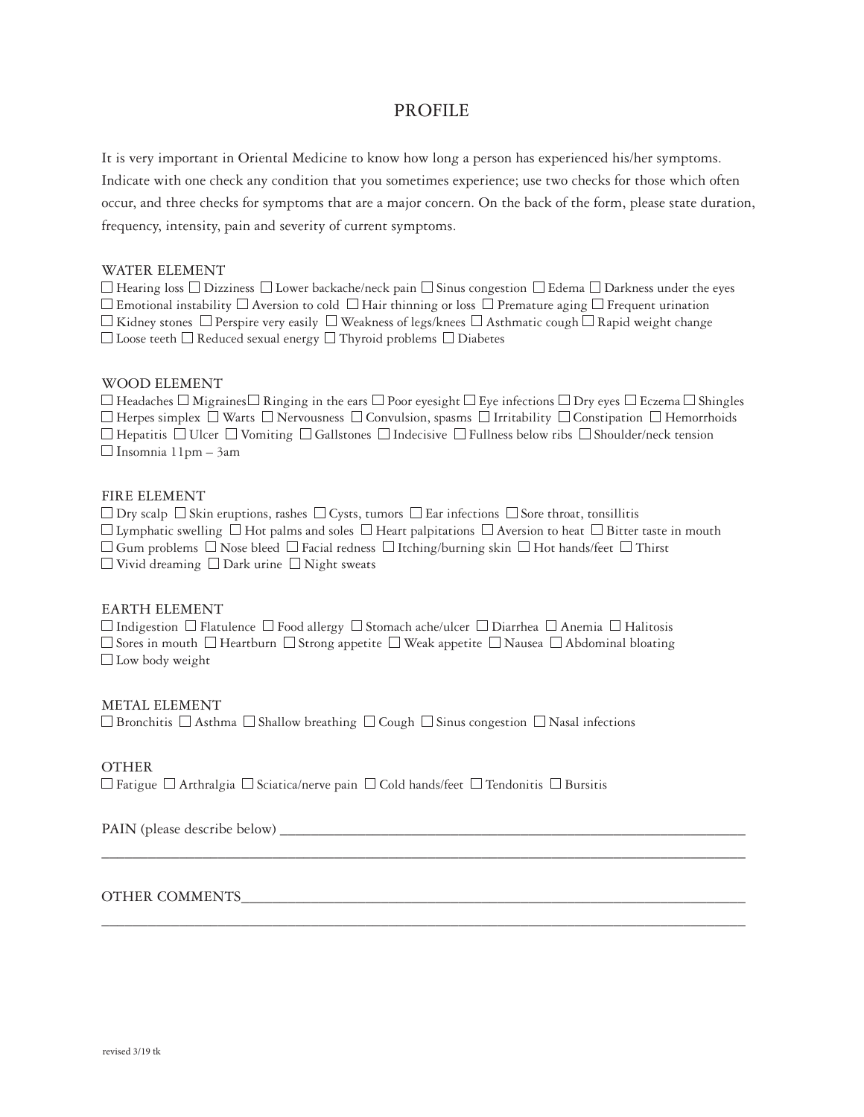## PROFILE

It is very important in Oriental Medicine to know how long a person has experienced his/her symptoms. Indicate with one check any condition that you sometimes experience; use two checks for those which often occur, and three checks for symptoms that are a major concern. On the back of the form, please state duration, frequency, intensity, pain and severity of current symptoms.

#### WATER ELEMENT

 $\Box$  Hearing loss  $\Box$  Dizziness  $\Box$  Lower backache/neck pain  $\Box$  Sinus congestion  $\Box$  Edema  $\Box$  Darkness under the eyes  $\Box$  Emotional instability  $\Box$  Aversion to cold  $\Box$  Hair thinning or loss  $\Box$  Premature aging  $\Box$  Frequent urination  $\Box$  Kidney stones  $\Box$  Perspire very easily  $\Box$  Weakness of legs/knees  $\Box$  Asthmatic cough  $\Box$  Rapid weight change  $\Box$  Loose teeth  $\Box$  Reduced sexual energy  $\Box$  Thyroid problems  $\Box$  Diabetes

#### WOOD ELEMENT

 $\Box$  Headaches  $\Box$  Migraines  $\Box$  Ringing in the ears  $\Box$  Poor eyesight  $\Box$  Eye infections  $\Box$  Dry eyes  $\Box$  Eczema  $\Box$  Shingles  $\Box$  Herpes simplex  $\Box$  Warts  $\Box$  Nervousness  $\Box$  Convulsion, spasms  $\Box$  Irritability  $\Box$  Constipation  $\Box$  Hemorrhoids  $\Box$  Hepatitis  $\Box$  Ulcer  $\Box$  Vomiting  $\Box$  Gallstones  $\Box$  Indecisive  $\Box$  Fullness below ribs  $\Box$  Shoulder/neck tension  $\Box$  Insomnia 11pm – 3am

#### FIRE ELEMENT

 $\Box$  Dry scalp  $\Box$  Skin eruptions, rashes  $\Box$  Cysts, tumors  $\Box$  Ear infections  $\Box$  Sore throat, tonsillitis  $\Box$  Lymphatic swelling  $\Box$  Hot palms and soles  $\Box$  Heart palpitations  $\Box$  Aversion to heat  $\Box$  Bitter taste in mouth  $\Box$  Gum problems  $\Box$  Nose bleed  $\Box$  Facial redness  $\Box$  Itching/burning skin  $\Box$  Hot hands/feet  $\Box$  Thirst  $\Box$  Vivid dreaming  $\Box$  Dark urine  $\Box$  Night sweats

\_\_\_\_\_\_\_\_\_\_\_\_\_\_\_\_\_\_\_\_\_\_\_\_\_\_\_\_\_\_\_\_\_\_\_\_\_\_\_\_\_\_\_\_\_\_\_\_\_\_\_\_\_\_\_\_\_\_\_\_\_\_\_\_\_\_\_\_\_\_\_\_\_\_\_\_\_\_\_\_\_\_\_

\_\_\_\_\_\_\_\_\_\_\_\_\_\_\_\_\_\_\_\_\_\_\_\_\_\_\_\_\_\_\_\_\_\_\_\_\_\_\_\_\_\_\_\_\_\_\_\_\_\_\_\_\_\_\_\_\_\_\_\_\_\_\_\_\_\_\_\_\_\_\_\_\_\_\_\_\_\_\_\_\_\_\_

#### EARTH ELEMENT

 $\Box$  Indigestion  $\Box$  Flatulence  $\Box$  Food allergy  $\Box$  Stomach ache/ulcer  $\Box$  Diarrhea  $\Box$  Anemia  $\Box$  Halitosis  $\Box$  Sores in mouth  $\Box$  Heartburn  $\Box$  Strong appetite  $\Box$  Weak appetite  $\Box$  Nausea  $\Box$  Abdominal bloating  $\Box$  Low body weight

#### METAL ELEMENT

 $\Box$  Bronchitis  $\Box$  Asthma  $\Box$  Shallow breathing  $\Box$  Cough  $\Box$  Sinus congestion  $\Box$  Nasal infections

#### OTHER

 $\Box$  Fatigue  $\Box$  Arthralgia  $\Box$  Sciatica/nerve pain  $\Box$  Cold hands/feet  $\Box$  Tendonitis  $\Box$  Bursitis

PAIN (please describe below) \_\_\_\_\_\_\_\_\_\_\_\_\_\_\_\_\_\_\_\_\_\_\_\_\_\_\_\_\_\_\_\_\_\_\_\_\_\_\_\_\_\_\_\_\_\_\_\_\_\_\_\_\_\_\_\_\_\_\_\_

#### OTHER COMMENTS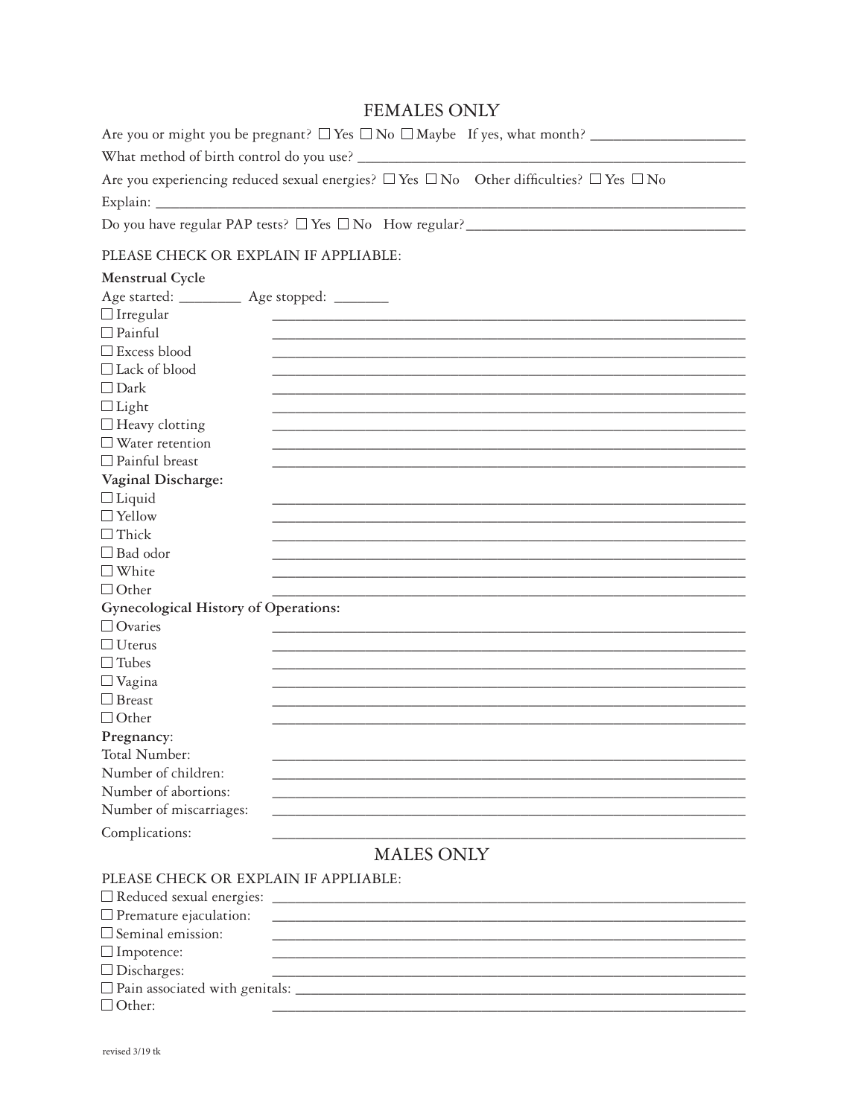# **FEMALES ONLY**

| Are you or might you be pregnant? $\Box$ Yes $\Box$ No $\Box$ Maybe If yes, what month?                     |
|-------------------------------------------------------------------------------------------------------------|
| What method of birth control do you use?                                                                    |
| Are you experiencing reduced sexual energies? $\Box$ Yes $\Box$ No Other difficulties? $\Box$ Yes $\Box$ No |
| Explain:                                                                                                    |

## PLEASE CHECK OR EXPLAIN IF APPLIABLE:

| Menstrual Cycle                                                  |                                       |
|------------------------------------------------------------------|---------------------------------------|
| Age started: ____                                                | Age stopped: _______                  |
| $\Box$ Irregular                                                 |                                       |
| $\Box$ Painful                                                   |                                       |
| □ Excess blood                                                   |                                       |
| $\Box$ Lack of blood                                             |                                       |
| $\Box$ Dark                                                      |                                       |
| $\Box$ Light                                                     |                                       |
| $\Box$<br>Heavy clotting                                         |                                       |
| $\Box$ Water retention                                           |                                       |
| $\Box$ Painful breast                                            |                                       |
| Vaginal Discharge:                                               |                                       |
| $\Box$ Liquid                                                    |                                       |
| $\Box$ Yellow                                                    |                                       |
| $\Box$ Thick                                                     |                                       |
| $\Box$ Bad odor                                                  |                                       |
| $\Box$ White                                                     |                                       |
| $\Box$ Other                                                     |                                       |
| Gynecological History of Operations:                             |                                       |
| $\Box$ Ovaries                                                   |                                       |
| $\Box$ Uterus                                                    |                                       |
| $\Box$ Tubes                                                     |                                       |
| $\Box$ Vagina                                                    |                                       |
| $\Box$ Breast                                                    |                                       |
| $\Box$ Other                                                     |                                       |
| Pregnancy:                                                       |                                       |
| Total Number:                                                    |                                       |
| Number of children:                                              |                                       |
| Number of abortions:                                             |                                       |
| Number of miscarriages:                                          |                                       |
| Complications:                                                   |                                       |
|                                                                  | <b>MALES ONLY</b>                     |
|                                                                  | PLEASE CHECK OR EXPLAIN IF APPLIABLE: |
|                                                                  |                                       |
| $\Box$ Reduced sexual energies:<br>$\Box$ Premature ejaculation: |                                       |
| $\square$ Seminal emission:                                      |                                       |
|                                                                  |                                       |
| $\Box$ Impotence:                                                |                                       |
| $\Box$<br>Discharges:                                            |                                       |

 $\Box$  Other: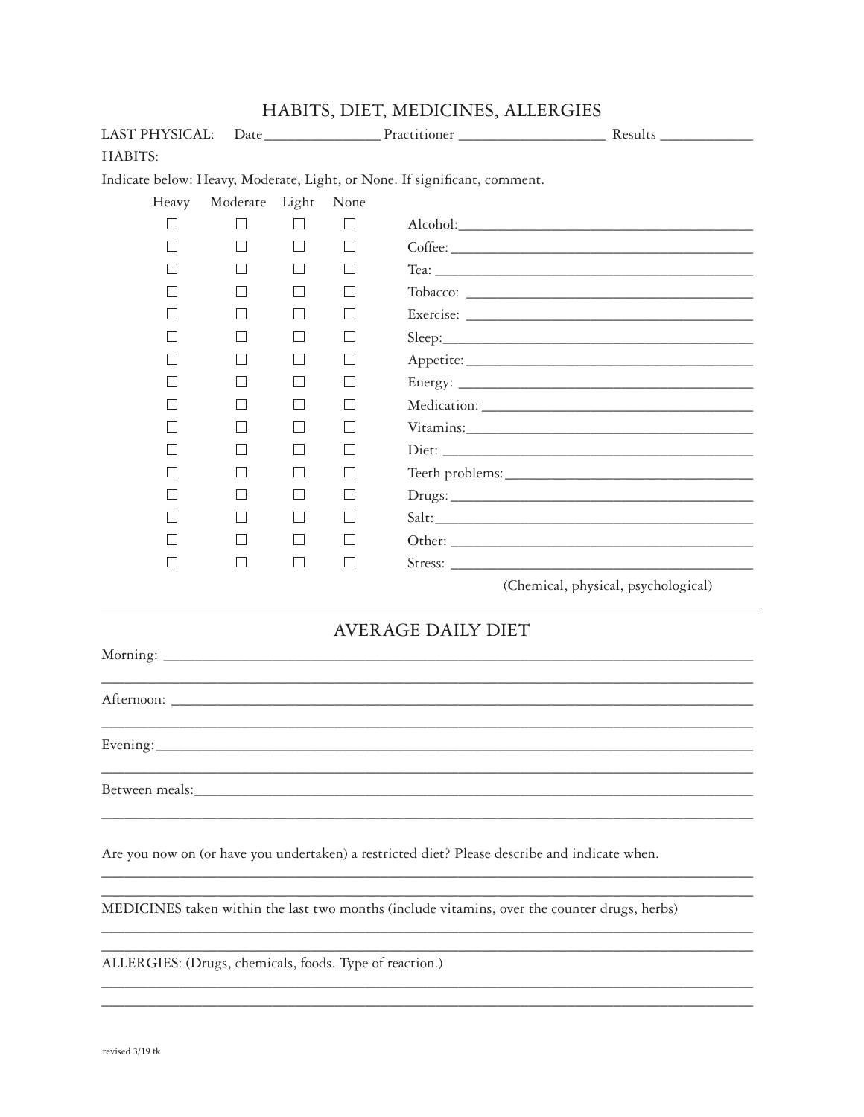| LAST PHYSICAL:    |                   |            |              |                                                                           |                                                                                               |
|-------------------|-------------------|------------|--------------|---------------------------------------------------------------------------|-----------------------------------------------------------------------------------------------|
| HABITS:           |                   |            |              |                                                                           |                                                                                               |
|                   |                   |            |              | Indicate below: Heavy, Moderate, Light, or None. If significant, comment. |                                                                                               |
| Heavy             | Moderate          | Light None |              |                                                                           |                                                                                               |
|                   |                   |            |              |                                                                           |                                                                                               |
| $\vert \ \ \vert$ | $\vert \ \ \vert$ |            | $\Box$       |                                                                           |                                                                                               |
|                   |                   |            | $\perp$      |                                                                           |                                                                                               |
|                   |                   |            |              |                                                                           |                                                                                               |
|                   |                   |            | $\mathsf{L}$ |                                                                           |                                                                                               |
|                   |                   |            | $\perp$      |                                                                           |                                                                                               |
|                   |                   |            | $\mathsf{L}$ |                                                                           |                                                                                               |
|                   |                   |            | $\perp$      |                                                                           |                                                                                               |
|                   |                   |            |              |                                                                           |                                                                                               |
|                   |                   |            |              |                                                                           |                                                                                               |
|                   |                   |            | $\mathsf{L}$ |                                                                           |                                                                                               |
|                   |                   |            |              |                                                                           |                                                                                               |
|                   |                   |            |              |                                                                           |                                                                                               |
|                   |                   |            | $\mathsf{L}$ |                                                                           | Salt:                                                                                         |
|                   |                   |            | $\perp$      |                                                                           |                                                                                               |
| $\mathcal{L}$     | $\perp$           | $\perp$    | $\perp$      |                                                                           |                                                                                               |
|                   |                   |            |              |                                                                           | (Chemical, physical, psychological)                                                           |
|                   |                   |            |              | <b>AVERAGE DAILY DIET</b>                                                 |                                                                                               |
|                   |                   |            |              |                                                                           | ,我们也不能在这里的人,我们也不能在这里的人,我们也不能在这里的人,我们也不能在这里的人,我们也不能在这里的人,我们也不能在这里的人,我们也不能在这里的人,我们也             |
|                   |                   |            |              |                                                                           |                                                                                               |
|                   |                   |            |              |                                                                           |                                                                                               |
|                   |                   |            |              |                                                                           |                                                                                               |
|                   |                   |            |              |                                                                           | Are you now on (or have you undertaken) a restricted diet? Please describe and indicate when. |
|                   |                   |            |              |                                                                           | MEDICINES taken within the last two months (include vitamins, over the counter drugs, herbs)  |
|                   |                   |            |              |                                                                           |                                                                                               |

HABITS, DIET, MEDICINES, ALLERGIES

ALLERGIES: (Drugs, chemicals, foods. Type of reaction.)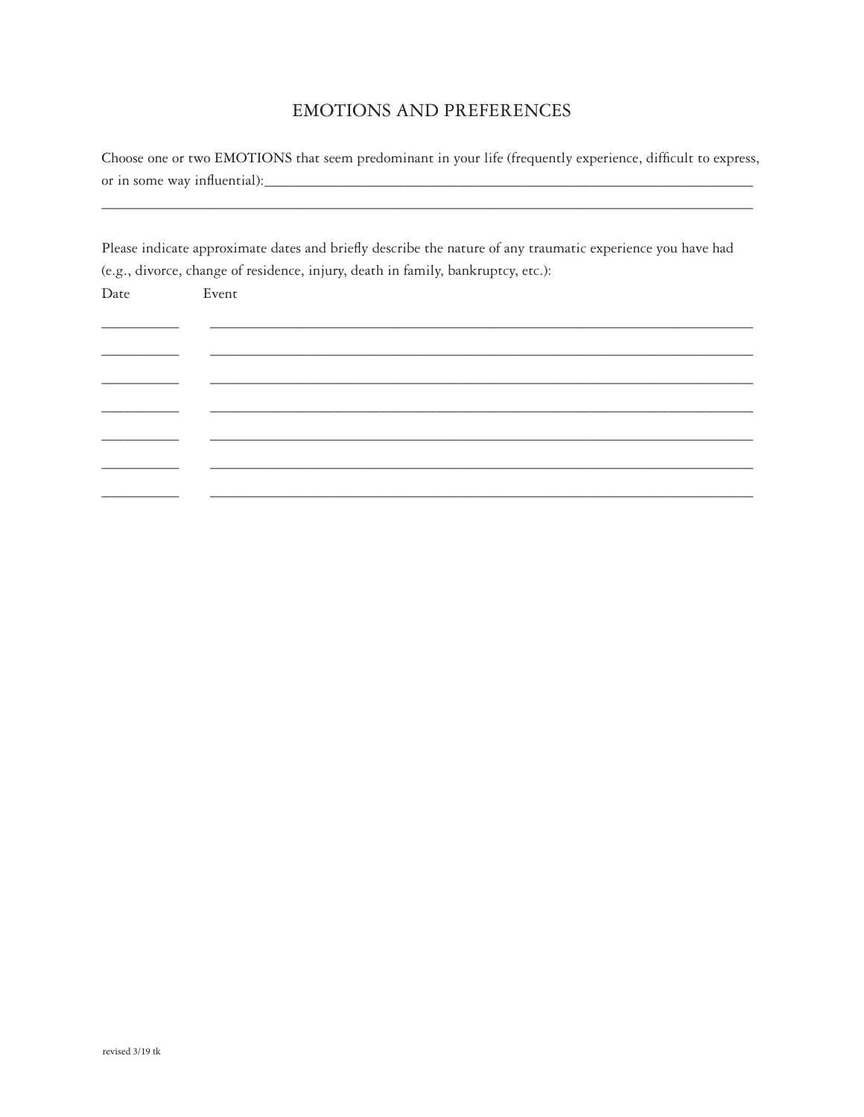# **EMOTIONS AND PREFERENCES**

Choose one or two EMOTIONS that seem predominant in your life (frequently experience, difficult to express, 

Please indicate approximate dates and briefly describe the nature of any traumatic experience you have had (e.g., divorce, change of residence, injury, death in family, bankruptcy, etc.):

| Date | Event |  |
|------|-------|--|
|      |       |  |
|      |       |  |
|      |       |  |
|      |       |  |
|      |       |  |
|      |       |  |
|      |       |  |
|      |       |  |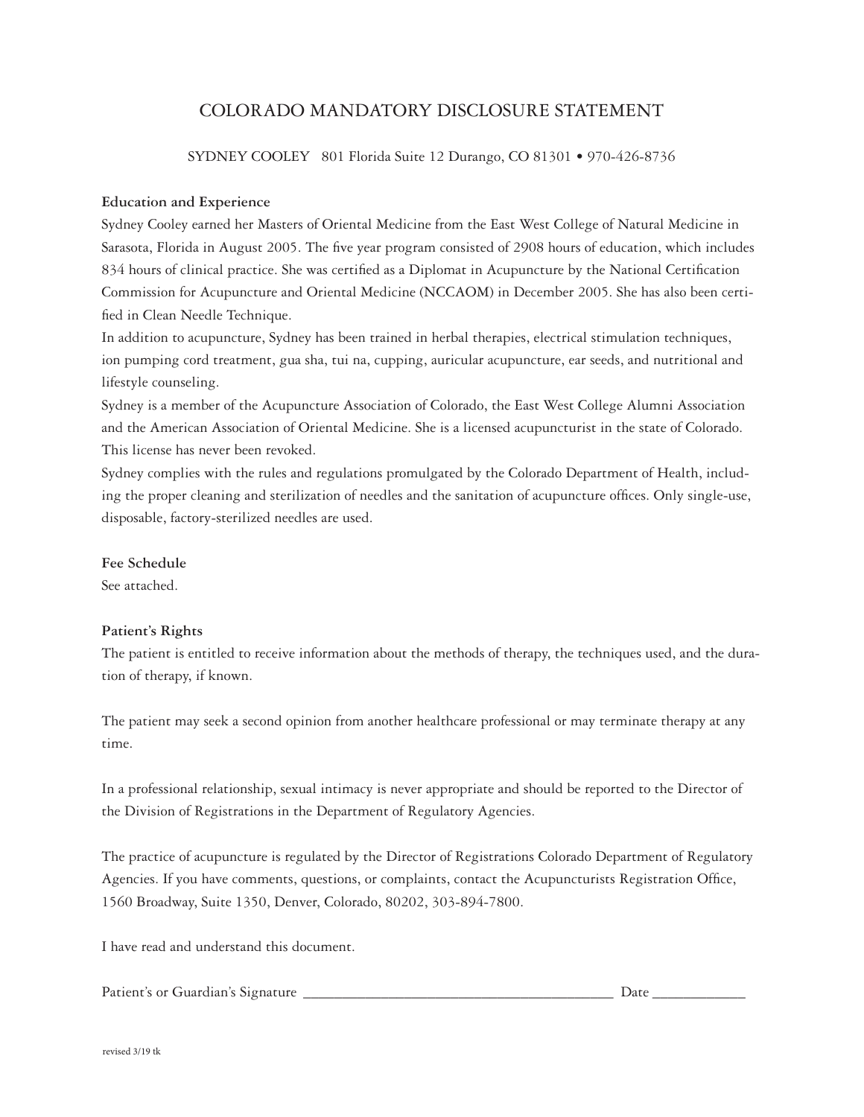# COLORADO MANDATORY DISCLOSURE STATEMENT

SYDNEY COOLEY 801 Florida Suite 12 Durango, CO 81301 • 970-426-8736

#### **Education and Experience**

Sydney Cooley earned her Masters of Oriental Medicine from the East West College of Natural Medicine in Sarasota, Florida in August 2005. The five year program consisted of 2908 hours of education, which includes 834 hours of clinical practice. She was certified as a Diplomat in Acupuncture by the National Certification Commission for Acupuncture and Oriental Medicine (NCCAOM) in December 2005. She has also been certified in Clean Needle Technique.

In addition to acupuncture, Sydney has been trained in herbal therapies, electrical stimulation techniques, ion pumping cord treatment, gua sha, tui na, cupping, auricular acupuncture, ear seeds, and nutritional and lifestyle counseling.

Sydney is a member of the Acupuncture Association of Colorado, the East West College Alumni Association and the American Association of Oriental Medicine. She is a licensed acupuncturist in the state of Colorado. This license has never been revoked.

Sydney complies with the rules and regulations promulgated by the Colorado Department of Health, including the proper cleaning and sterilization of needles and the sanitation of acupuncture offices. Only single-use, disposable, factory-sterilized needles are used.

### **Fee Schedule**

See attached.

### **Patient's Rights**

The patient is entitled to receive information about the methods of therapy, the techniques used, and the duration of therapy, if known.

The patient may seek a second opinion from another healthcare professional or may terminate therapy at any time.

In a professional relationship, sexual intimacy is never appropriate and should be reported to the Director of the Division of Registrations in the Department of Regulatory Agencies.

The practice of acupuncture is regulated by the Director of Registrations Colorado Department of Regulatory Agencies. If you have comments, questions, or complaints, contact the Acupuncturists Registration Office, 1560 Broadway, Suite 1350, Denver, Colorado, 80202, 303-894-7800.

I have read and understand this document.

Patient's or Guardian's Signature \_\_\_\_\_\_\_\_\_\_\_\_\_\_\_\_\_\_\_\_\_\_\_\_\_\_\_\_\_\_\_\_\_\_\_\_\_\_\_\_ Date \_\_\_\_\_\_\_\_\_\_\_\_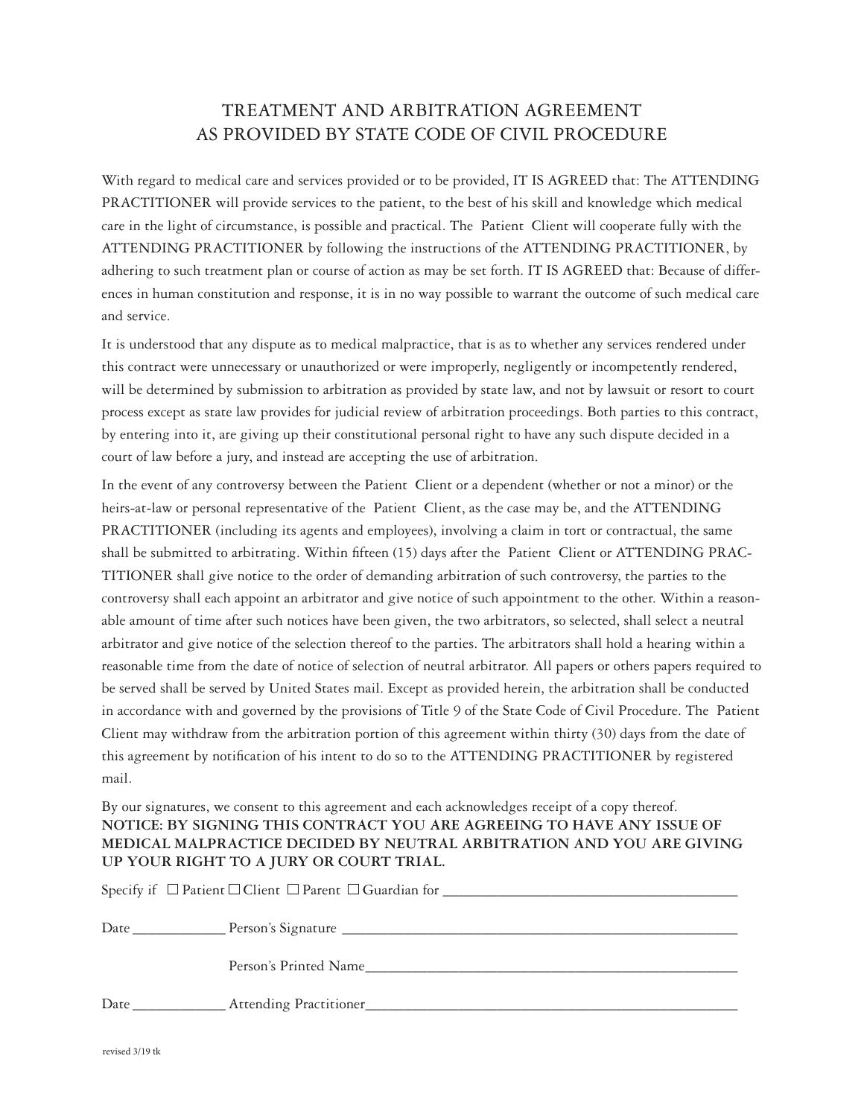# TREATMENT AND ARBITRATION AGREEMENT AS PROVIDED BY STATE CODE OF CIVIL PROCEDURE

With regard to medical care and services provided or to be provided, IT IS AGREED that: The ATTENDING PRACTITIONER will provide services to the patient, to the best of his skill and knowledge which medical care in the light of circumstance, is possible and practical. The Patient Client will cooperate fully with the ATTENDING PRACTITIONER by following the instructions of the ATTENDING PRACTITIONER, by adhering to such treatment plan or course of action as may be set forth. IT IS AGREED that: Because of differences in human constitution and response, it is in no way possible to warrant the outcome of such medical care and service.

It is understood that any dispute as to medical malpractice, that is as to whether any services rendered under this contract were unnecessary or unauthorized or were improperly, negligently or incompetently rendered, will be determined by submission to arbitration as provided by state law, and not by lawsuit or resort to court process except as state law provides for judicial review of arbitration proceedings. Both parties to this contract, by entering into it, are giving up their constitutional personal right to have any such dispute decided in a court of law before a jury, and instead are accepting the use of arbitration.

In the event of any controversy between the Patient Client or a dependent (whether or not a minor) or the heirs-at-law or personal representative of the Patient Client, as the case may be, and the ATTENDING PRACTITIONER (including its agents and employees), involving a claim in tort or contractual, the same shall be submitted to arbitrating. Within fifteen (15) days after the Patient Client or ATTENDING PRAC-TITIONER shall give notice to the order of demanding arbitration of such controversy, the parties to the controversy shall each appoint an arbitrator and give notice of such appointment to the other. Within a reasonable amount of time after such notices have been given, the two arbitrators, so selected, shall select a neutral arbitrator and give notice of the selection thereof to the parties. The arbitrators shall hold a hearing within a reasonable time from the date of notice of selection of neutral arbitrator. All papers or others papers required to be served shall be served by United States mail. Except as provided herein, the arbitration shall be conducted in accordance with and governed by the provisions of Title 9 of the State Code of Civil Procedure. The Patient Client may withdraw from the arbitration portion of this agreement within thirty (30) days from the date of this agreement by notification of his intent to do so to the ATTENDING PRACTITIONER by registered mail.

By our signatures, we consent to this agreement and each acknowledges receipt of a copy thereof. **NOTICE: BY SIGNING THIS CONTRACT YOU ARE AGREEING TO HAVE ANY ISSUE OF MEDICAL MALPRACTICE DECIDED BY NEUTRAL ARBITRATION AND YOU ARE GIVING UP YOUR RIGHT TO A JURY OR COURT TRIAL.**

| Person's Printed Name |
|-----------------------|
|                       |
|                       |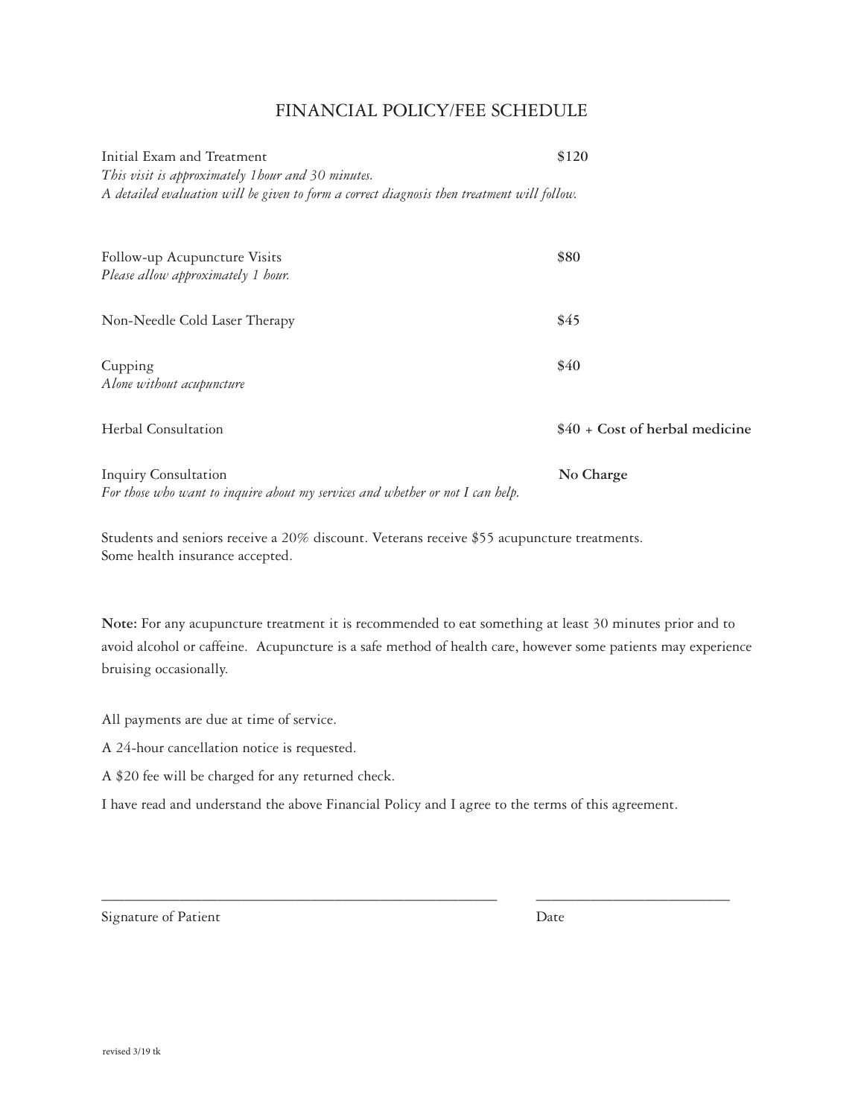## Financial Policy/Fee Schedule

| Initial Exam and Treatment<br>This visit is approximately 1 hour and 30 minutes.<br>A detailed evaluation will be given to form a correct diagnosis then treatment will follow. | \$120                           |
|---------------------------------------------------------------------------------------------------------------------------------------------------------------------------------|---------------------------------|
| Follow-up Acupuncture Visits<br>Please allow approximately 1 hour.                                                                                                              | \$80                            |
| Non-Needle Cold Laser Therapy                                                                                                                                                   | \$45                            |
| Cupping<br>Alone without acupuncture                                                                                                                                            | \$40                            |
| Herbal Consultation                                                                                                                                                             | $$40 + Cost of herbal medicine$ |
| <b>Inquiry Consultation</b><br>For those who want to inquire about my services and whether or not I can help.                                                                   | No Charge                       |

Students and seniors receive a 20% discount. Veterans receive \$55 acupuncture treatments. Some health insurance accepted.

**Note:** For any acupuncture treatment it is recommended to eat something at least 30 minutes prior and to avoid alcohol or caffeine. Acupuncture is a safe method of health care, however some patients may experience bruising occasionally.

All payments are due at time of service.

A 24-hour cancellation notice is requested.

A \$20 fee will be charged for any returned check.

I have read and understand the above Financial Policy and I agree to the terms of this agreement.

\_\_\_\_\_\_\_\_\_\_\_\_\_\_\_\_\_\_\_\_\_\_\_\_\_\_\_\_\_\_\_\_\_\_\_\_\_\_\_\_\_\_\_\_\_\_\_\_\_\_\_ \_\_\_\_\_\_\_\_\_\_\_\_\_\_\_\_\_\_\_\_\_\_\_\_\_

Signature of Patient Date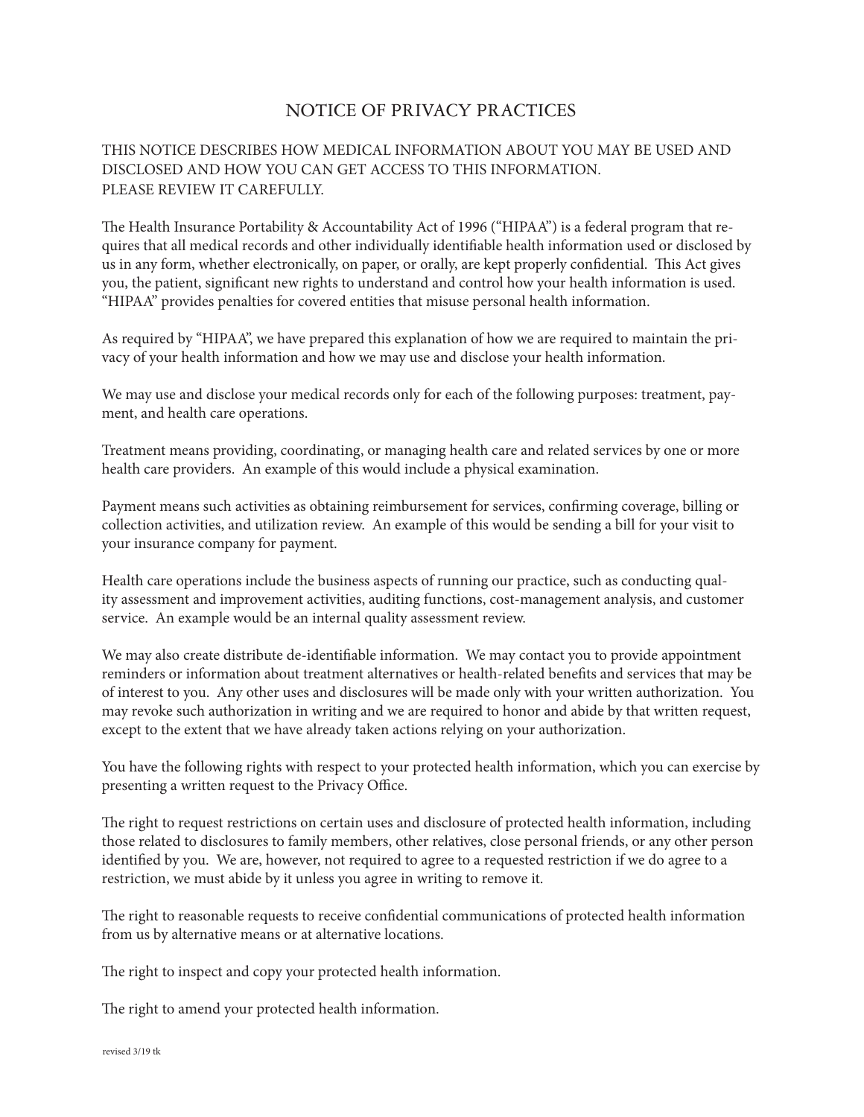# NOTICE OF PRIVACY PRACTICES

## THIS NOTICE DESCRIBES HOW MEDICAL INFORMATION ABOUT YOU MAY BE USED AND DISCLOSED AND HOW YOU CAN GET ACCESS TO THIS INFORMATION. PLEASE REVIEW IT CAREFULLY.

The Health Insurance Portability & Accountability Act of 1996 ("HIPAA") is a federal program that requires that all medical records and other individually identifiable health information used or disclosed by us in any form, whether electronically, on paper, or orally, are kept properly confidential. This Act gives you, the patient, significant new rights to understand and control how your health information is used. "HIPAA" provides penalties for covered entities that misuse personal health information.

As required by "HIPAA", we have prepared this explanation of how we are required to maintain the privacy of your health information and how we may use and disclose your health information.

We may use and disclose your medical records only for each of the following purposes: treatment, payment, and health care operations.

Treatment means providing, coordinating, or managing health care and related services by one or more health care providers. An example of this would include a physical examination.

Payment means such activities as obtaining reimbursement for services, confirming coverage, billing or collection activities, and utilization review. An example of this would be sending a bill for your visit to your insurance company for payment.

Health care operations include the business aspects of running our practice, such as conducting quality assessment and improvement activities, auditing functions, cost-management analysis, and customer service. An example would be an internal quality assessment review.

We may also create distribute de-identifiable information. We may contact you to provide appointment reminders or information about treatment alternatives or health-related benefits and services that may be of interest to you. Any other uses and disclosures will be made only with your written authorization. You may revoke such authorization in writing and we are required to honor and abide by that written request, except to the extent that we have already taken actions relying on your authorization.

You have the following rights with respect to your protected health information, which you can exercise by presenting a written request to the Privacy Office.

The right to request restrictions on certain uses and disclosure of protected health information, including those related to disclosures to family members, other relatives, close personal friends, or any other person identified by you. We are, however, not required to agree to a requested restriction if we do agree to a restriction, we must abide by it unless you agree in writing to remove it.

The right to reasonable requests to receive confidential communications of protected health information from us by alternative means or at alternative locations.

The right to inspect and copy your protected health information.

The right to amend your protected health information.